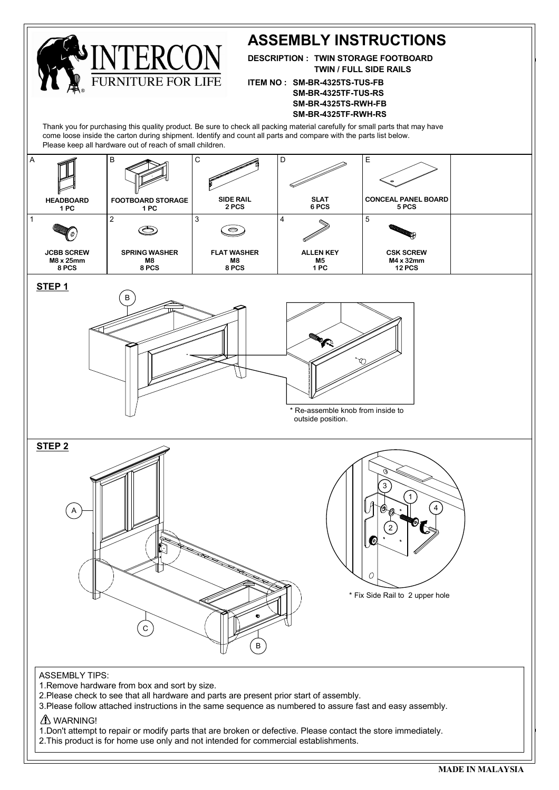